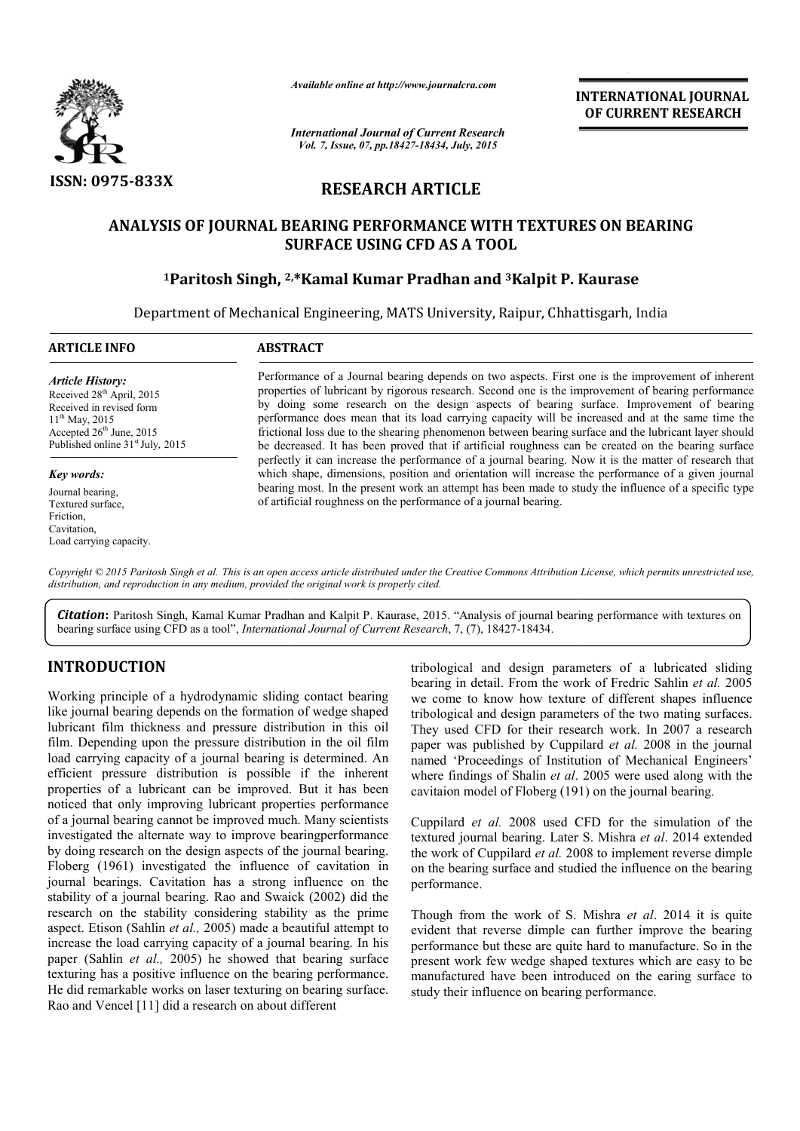

*Available online at http://www.journalcra.com*

*International Journal of Current Research Vol. 7, Issue, 07, pp.18427-18434, July, 2015*

**INTERNATIONAL INTERNATIONAL JOURNAL OF CURRENT RESEARCH** 

# **RESEARCH ARTICLE**

# ANALYSIS OF JOURNAL BEARING PERFORMANCE WITH TEXTURES ON BEARING<br>SURFACE USING CFD AS A TOOL<br><sup>1</sup>Paritosh Singh, <sup>2,\*</sup>Kamal Kumar Pradhan and <sup>3</sup>Kalpit P. Kaurase **SURFACE USING CFD AS A TOOL**

# **1Paritosh Singh, 2 2, \*Kamal Kumar Pradhan and 3Kalpit P. Kaurase**

Department of Mechanical Engineering, MATS University, Raipur, Chhattisgarh, India 1

#### **ARTICLE INFO ABSTRACT**

*Article History:* Received 28<sup>th</sup> April, 2015 Received in revised form 11th May, 2015 Accepted  $26<sup>th</sup>$  June, 2015 Published online 31<sup>st</sup> July, 2015

#### *Key words:*

Journal bearing, Textured surface, Friction, **Cavitation** Load carrying capacity.

Performance of a Journal bearing depends on two aspects. First one is the improvement of inherent properties of lubricant by rigorous research. Second one is the improvement of bearing performance by doing some research on the design aspects of bearing surface. Improvement of bearing performance does mean that its load carrying capacity will be increased and at the same time the frictional loss due to the shearing phenomenon between bearing surface and the lubricant layer should be decreased. It has been proved that if artificial roughness can be created on the bearing surfa perfectly it can increase the performance of a journal bearing. Now it is the matter of research that which shape, dimensions, position and orientation will increase the performance of a given journal bearing most. In the present work an attempt has been made to study the influence of a specific type of artificial roughness on the performance of a journal bearing. is of lubricant by rigorous research. Second one is the improvement of bearing performance some research on the design aspects of bearing surface. Improvement of bearing ince does mean that its load carrying capacity will In increase the performance of a journal bearing. Now it is the matter of research dimensions, position and orientation will increase the performance of a given journ the present work an attempt has been made to study the **INTERNATIONAL JOURNAL CONTROL CONTROL CONTROL CONTROL CONTROL CONTROL CONTROL CONTROL CONTROL CONTROL (CONTROL CONTROL CONTROL CONTROL CONTROL CONTROL CONTROL CONTROL CONTROL CONTROL CONTROL CONTROL CONTROL CONTROL CONTR** 

Copyright © 2015 Paritosh Singh et al. This is an open access article distributed under the Creative Commons Attribution License, which permits unrestricted use, *distribution, and reproduction in any medium, provided the original work is properly cited.*

Citation: Paritosh Singh, Kamal Kumar Pradhan and Kalpit P. Kaurase, 2015. "Analysis of journal bearing performance with textures on bearing surface using CFD as a tool", *International Journal of Current Research* , 7, (7), 18427-18434.

# **INTRODUCTION**

Working principle of a hydrodynamic sliding contact bearing like journal bearing depends on the formation of wedge shaped lubricant film thickness and pressure distribution in this oil film. Depending upon the pressure distribution in the oil film load carrying capacity of a journal bearing is determined. An efficient pressure distribution is possible if the inherent properties of a lubricant can be improved. But it has been noticed that only improving lubricant properties performance of a journal bearing cannot be improved much. Many scientists investigated the alternate way to improve bearingperformance by doing research on the design aspects of the journal bearing. Floberg (1961) investigated the influence of cavitation in journal bearings. Cavitation has a strong influence on the stability of a journal bearing. Rao and Swaick (2002) did the research on the stability considering stability as the prime aspect. Etison (Sahlin *et al.,* 2005) made a beautiful attempt to increase the load carrying capacity of a journal bearing. In his paper (Sahlin *et al.,* 2005) he showed that bearing surface texturing has a positive influence on the bearing performance. He did remarkable works on laser texturing on bearing surface. Rao and Vencel [11] did a research on about different rying capacity of a<br>pressure distributes of a lubricant c<br>that only improvin<br>mal bearing cannot

tribological and design parameters of a lubricated sliding<br>
betain the work of Fredric Sahiln *et al.* 2005<br>
we come to know how texture of different shapes influence<br>
ation of wedge shaped tribological and design paramet tribological and design parameters of a lubricated sliding<br>bearing in detail. From the work of Fredric Sahlin *et al.* 2005 we come to know how texture of different shapes influence tribological and design parameters of the two mating surfaces. They used CFD for their research work. In 2007 a research paper was published by Cuppilard et al. 2008 in the journal named 'Proceedings of Institution of Mechanical Engineers' where findings of Shalin *et al*. 2005 were used along with the cavitaion model of Floberg (191) on the journal bearing.

Cuppilard *et al.* 2008 used CFD for the simulation of the textured journal bearing. Later S. Mishra *et al*. 2014 extended the work of Cuppilard *et al.* 2008 to implement reverse dimple on the bearing surface and studied the influence on the bearing performance.

Though from the work of S. Mishra *et al*. 2014 it is quite evident that reverse dimple can further improve the bearing evident that reverse dimple can further improve the bearing performance but these are quite hard to manufacture. So in the present work few wedge shaped textures which are easy to be manufactured have been introduced on the earing surface to study their influence on bearing performance.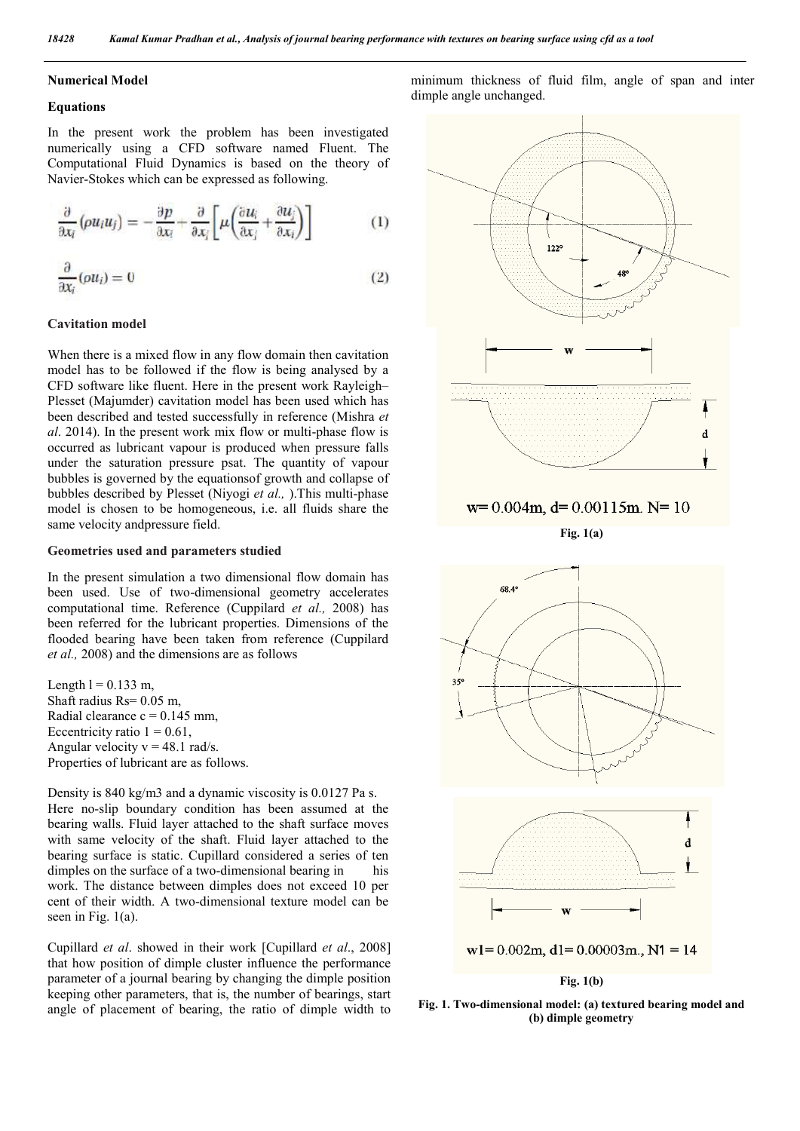#### **Numerical Model**

#### **Equations**

In the present work the problem has been investigated numerically using a CFD software named Fluent. The Computational Fluid Dynamics is based on the theory of Navier-Stokes which can be expressed as following.

$$
\frac{\partial}{\partial x_i} \left( \rho u_i u_j \right) = -\frac{\partial p}{\partial x_i} + \frac{\partial}{\partial x_j} \left[ \mu \left( \frac{\partial u_i}{\partial x_j} + \frac{\partial u_j}{\partial x_i} \right) \right] \tag{1}
$$

$$
\frac{\partial}{\partial x_i}(ou_i) = 0 \tag{2}
$$

#### **Cavitation model**

When there is a mixed flow in any flow domain then cavitation model has to be followed if the flow is being analysed by a CFD software like fluent. Here in the present work Rayleigh– Plesset (Majumder) cavitation model has been used which has been described and tested successfully in reference (Mishra *et al*. 2014). In the present work mix flow or multi-phase flow is occurred as lubricant vapour is produced when pressure falls under the saturation pressure psat. The quantity of vapour bubbles is governed by the equationsof growth and collapse of bubbles described by Plesset (Niyogi *et al.,* ).This multi-phase model is chosen to be homogeneous, i.e. all fluids share the same velocity andpressure field.

#### **Geometries used and parameters studied**

In the present simulation a two dimensional flow domain has been used. Use of two-dimensional geometry accelerates computational time. Reference (Cuppilard *et al.,* 2008) has been referred for the lubricant properties. Dimensions of the flooded bearing have been taken from reference (Cuppilard *et al.,* 2008) and the dimensions are as follows

Length  $l = 0.133$  m, Shaft radius  $Rs = 0.05$  m. Radial clearance  $c = 0.145$  mm. Eccentricity ratio  $1 = 0.61$ . Angular velocity  $v = 48.1$  rad/s. Properties of lubricant are as follows.

Density is 840 kg/m3 and a dynamic viscosity is 0.0127 Pa s. Here no-slip boundary condition has been assumed at the bearing walls. Fluid layer attached to the shaft surface moves with same velocity of the shaft. Fluid layer attached to the bearing surface is static. Cupillard considered a series of ten dimples on the surface of a two-dimensional bearing in his work. The distance between dimples does not exceed 10 per cent of their width. A two-dimensional texture model can be seen in Fig. 1(a).

Cupillard *et al*. showed in their work [Cupillard *et al*., 2008] that how position of dimple cluster influence the performance parameter of a journal bearing by changing the dimple position keeping other parameters, that is, the number of bearings, start angle of placement of bearing, the ratio of dimple width to

minimum thickness of fluid film, angle of span and inter dimple angle unchanged.



**Fig. 1. Two-dimensional model: (a) textured bearing model and (b) dimple geometry**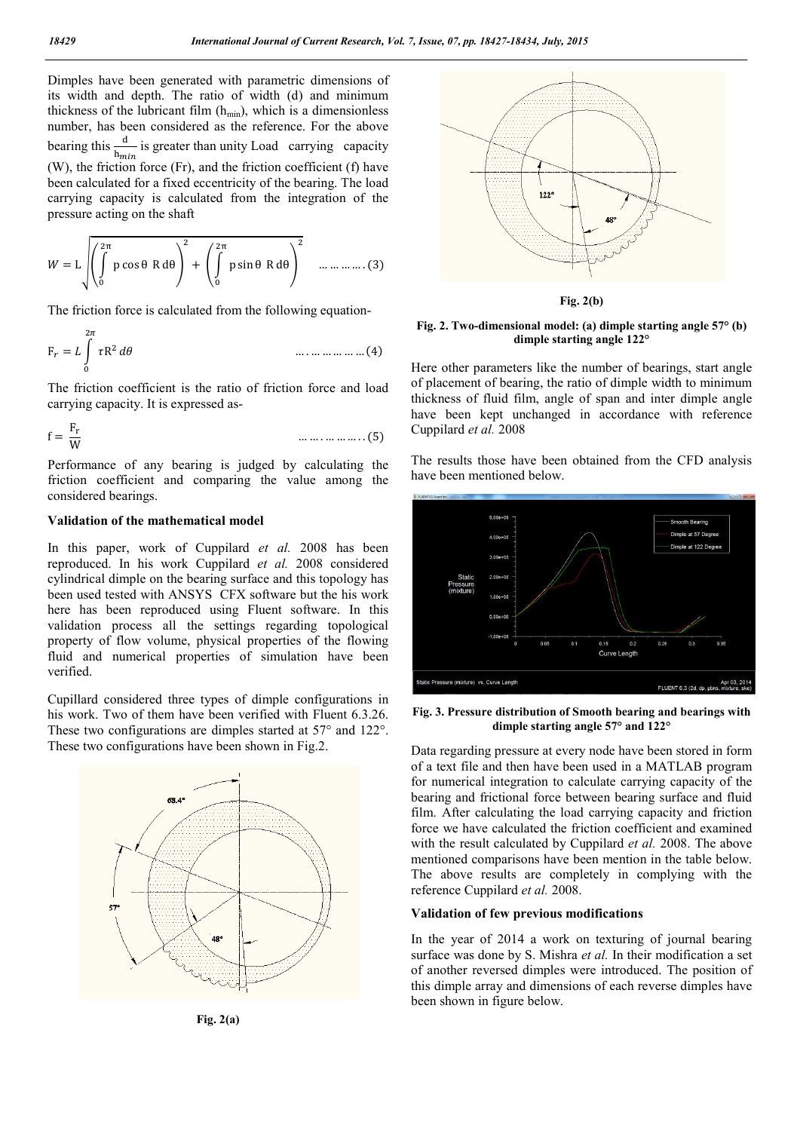Dimples have been generated with parametric dimensions of its width and depth. The ratio of width (d) and minimum thickness of the lubricant film  $(h_{min})$ , which is a dimensionless number, has been considered as the reference. For the above bearing this  $\frac{d}{h_{min}}$  is greater than unity Load carrying capacity (W), the friction force (Fr), and the friction coefficient (f) have been calculated for a fixed eccentricity of the bearing. The load carrying capacity is calculated from the integration of the pressure acting on the shaft

$$
W = L \left( \int_{0}^{2\pi} p \cos \theta \, R \, d\theta \right)^{2} + \left( \int_{0}^{2\pi} p \sin \theta \, R \, d\theta \right)^{2} \quad \dots \dots \dots \dots (3)
$$

The friction force is calculated from the following equation-

$$
F_r = L \int_0^{2\pi} \tau R^2 d\theta \qquad \qquad \dots \dots \dots \dots \dots \dots \dots (4)
$$

The friction coefficient is the ratio of friction force and load carrying capacity. It is expressed as-

$$
f = \frac{F_r}{W} \qquad \qquad \dots \dots \dots \dots \dots \dots \dots \tag{5}
$$

Performance of any bearing is judged by calculating the friction coefficient and comparing the value among the considered bearings.

### **Validation of the mathematical model**

In this paper, work of Cuppilard *et al.* 2008 has been reproduced. In his work Cuppilard *et al.* 2008 considered cylindrical dimple on the bearing surface and this topology has been used tested with ANSYS CFX software but the his work here has been reproduced using Fluent software. In this validation process all the settings regarding topological property of flow volume, physical properties of the flowing fluid and numerical properties of simulation have been verified.

Cupillard considered three types of dimple configurations in his work. Two of them have been verified with Fluent  $6.3.26$ . These two configurations are dimples started at 57° and 122°. These two configurations have been shown in Fig.2.



**Fig. 2(a)**



**Fig. 2(b)**

#### **Fig. 2. Two-dimensional model: (a) dimple starting angle 57° (b) dimple starting angle 122°**

Here other parameters like the number of bearings, start angle of placement of bearing, the ratio of dimple width to minimum thickness of fluid film, angle of span and inter dimple angle have been kept unchanged in accordance with reference Cuppilard *et al.* 2008

The results those have been obtained from the CFD analysis have been mentioned below.



**Fig. 3. Pressure distribution of Smooth bearing and bearings with dimple starting angle 57° and 122°**

Data regarding pressure at every node have been stored in form of a text file and then have been used in a MATLAB program for numerical integration to calculate carrying capacity of the bearing and frictional force between bearing surface and fluid film. After calculating the load carrying capacity and friction force we have calculated the friction coefficient and examined with the result calculated by Cuppilard *et al.* 2008. The above mentioned comparisons have been mention in the table below. The above results are completely in complying with the reference Cuppilard *et al.* 2008.

#### **Validation of few previous modifications**

In the year of 2014 a work on texturing of journal bearing surface was done by S. Mishra *et al.* In their modification a set of another reversed dimples were introduced. The position of this dimple array and dimensions of each reverse dimples have been shown in figure below.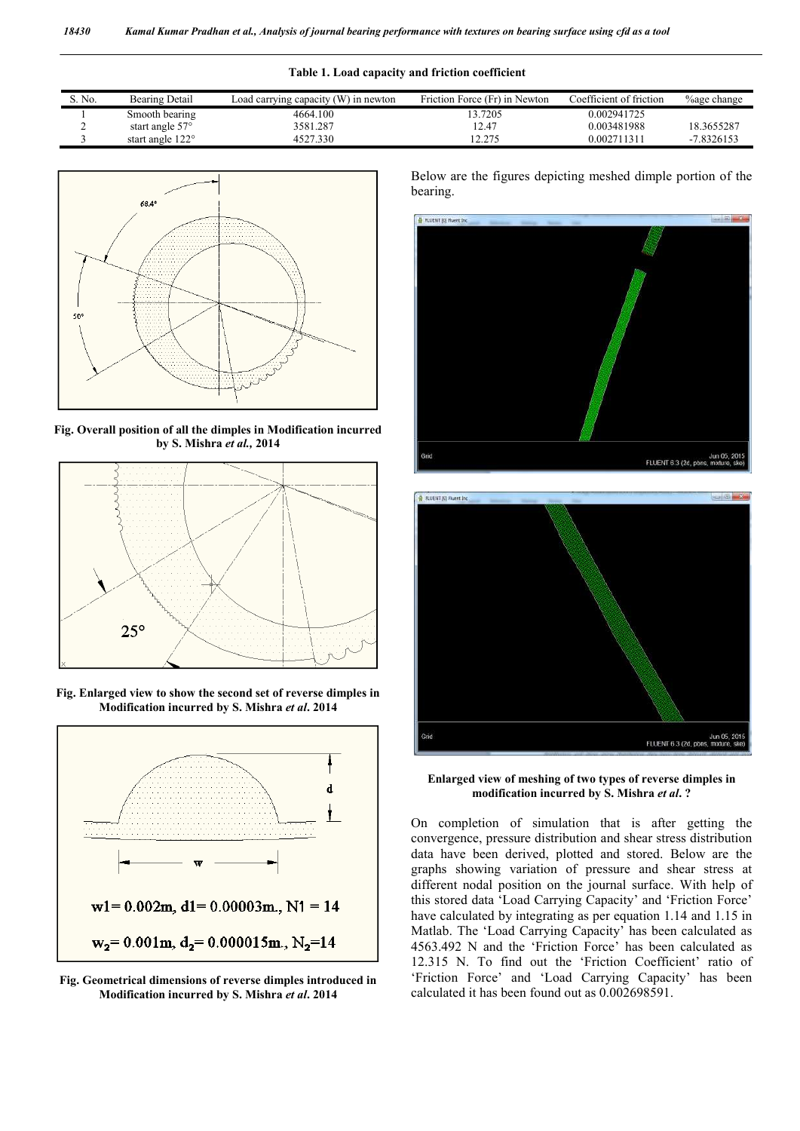|  |  | Table 1. Load capacity and friction coefficient |
|--|--|-------------------------------------------------|
|  |  |                                                 |

| S. No. | Bearing Detail           | Load carrying capacity (W) in newton | Friction Force (Fr) in Newton | Coefficient of friction | <b>%age change</b> |
|--------|--------------------------|--------------------------------------|-------------------------------|-------------------------|--------------------|
|        | Smooth bearing           | 4664.100                             | 3.7205                        | 0.002941725             |                    |
|        | start angle $57^{\circ}$ | 3581.287                             | 12.47                         | 0.003481988             | 18.3655287         |
|        | start angle 122°         | 4527.330                             | 2.275                         | 0.002711311             | $-7.8326153$       |



**Fig. Overall position of all the dimples in Modification incurred by S. Mishra** *et al.,* **2014**



**Fig. Enlarged view to show the second set of reverse dimples in Modification incurred by S. Mishra** *et al***. 2014**



**Fig. Geometrical dimensions of reverse dimples introduced in Modification incurred by S. Mishra** *et al***. 2014**

Below are the figures depicting meshed dimple portion of the bearing.





**Enlarged view of meshing of two types of reverse dimples in modification incurred by S. Mishra** *et al***. ?**

On completion of simulation that is after getting the convergence, pressure distribution and shear stress distribution data have been derived, plotted and stored. Below are the graphs showing variation of pressure and shear stress at different nodal position on the journal surface. With help of this stored data 'Load Carrying Capacity' and 'Friction Force' have calculated by integrating as per equation 1.14 and 1.15 in Matlab. The 'Load Carrying Capacity' has been calculated as 4563.492 N and the 'Friction Force' has been calculated as 12.315 N. To find out the 'Friction Coefficient' ratio of 'Friction Force' and 'Load Carrying Capacity' has been calculated it has been found out as 0.002698591.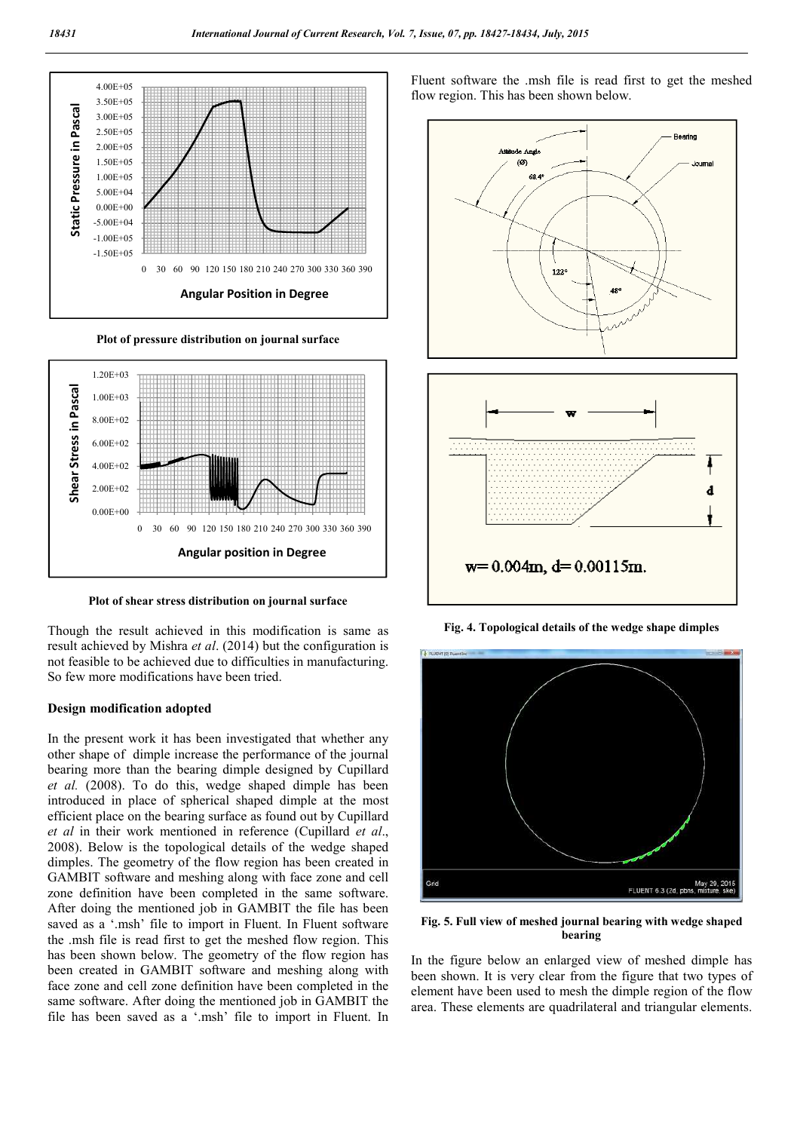

**Plot of pressure distribution on journal surface**



**Plot of shear stress distribution on journal surface**

Though the result achieved in this modification is same as result achieved by Mishra *et al*. (2014) but the configuration is not feasible to be achieved due to difficulties in manufacturing. So few more modifications have been tried.

#### **Design modification adopted**

In the present work it has been investigated that whether any other shape of dimple increase the performance of the journal bearing more than the bearing dimple designed by Cupillard *et al.* (2008). To do this, wedge shaped dimple has been introduced in place of spherical shaped dimple at the most efficient place on the bearing surface as found out by Cupillard *et al* in their work mentioned in reference (Cupillard *et al*., 2008). Below is the topological details of the wedge shaped dimples. The geometry of the flow region has been created in GAMBIT software and meshing along with face zone and cell zone definition have been completed in the same software. After doing the mentioned job in GAMBIT the file has been saved as a '.msh' file to import in Fluent. In Fluent software the .msh file is read first to get the meshed flow region. This has been shown below. The geometry of the flow region has been created in GAMBIT software and meshing along with face zone and cell zone definition have been completed in the same software. After doing the mentioned job in GAMBIT the file has been saved as a '.msh' file to import in Fluent. In

Fluent software the .msh file is read first to get the meshed flow region. This has been shown below.



**Fig. 4. Topological details of the wedge shape dimples**



**Fig. 5. Full view of meshed journal bearing with wedge shaped bearing**

In the figure below an enlarged view of meshed dimple has been shown. It is very clear from the figure that two types of element have been used to mesh the dimple region of the flow area. These elements are quadrilateral and triangular elements.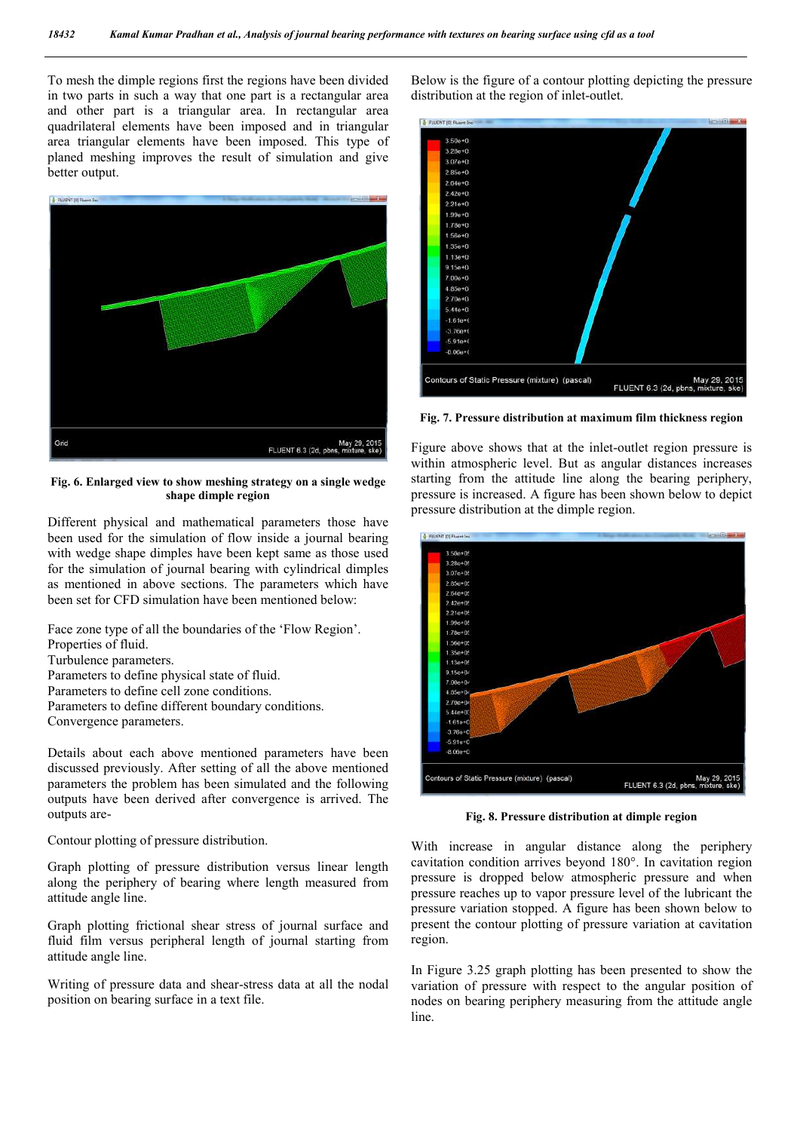To mesh the dimple regions first the regions have been divided in two parts in such a way that one part is a rectangular area and other part is a triangular area. In rectangular area quadrilateral elements have been imposed and in triangular area triangular elements have been imposed. This type of planed meshing improves the result of simulation and give better output.



**Fig. 6. Enlarged view to show meshing strategy on a single wedge shape dimple region**

Different physical and mathematical parameters those have been used for the simulation of flow inside a journal bearing with wedge shape dimples have been kept same as those used for the simulation of journal bearing with cylindrical dimples as mentioned in above sections. The parameters which have been set for CFD simulation have been mentioned below:

Face zone type of all the boundaries of the 'Flow Region'. Properties of fluid. Turbulence parameters. Parameters to define physical state of fluid.

- Parameters to define cell zone conditions.
- Parameters to define different boundary conditions.
- Convergence parameters.

Details about each above mentioned parameters have been discussed previously. After setting of all the above mentioned parameters the problem has been simulated and the following outputs have been derived after convergence is arrived. The outputs are-

Contour plotting of pressure distribution.

Graph plotting of pressure distribution versus linear length along the periphery of bearing where length measured from attitude angle line.

Graph plotting frictional shear stress of journal surface and fluid film versus peripheral length of journal starting from attitude angle line.

Writing of pressure data and shear-stress data at all the nodal position on bearing surface in a text file.

Below is the figure of a contour plotting depicting the pressure distribution at the region of inlet-outlet.



**Fig. 7. Pressure distribution at maximum film thickness region**

Figure above shows that at the inlet-outlet region pressure is within atmospheric level. But as angular distances increases starting from the attitude line along the bearing periphery, pressure is increased. A figure has been shown below to depict pressure distribution at the dimple region.



**Fig. 8. Pressure distribution at dimple region**

With increase in angular distance along the periphery cavitation condition arrives beyond 180°. In cavitation region pressure is dropped below atmospheric pressure and when pressure reaches up to vapor pressure level of the lubricant the pressure variation stopped. A figure has been shown below to present the contour plotting of pressure variation at cavitation region.

In Figure 3.25 graph plotting has been presented to show the variation of pressure with respect to the angular position of nodes on bearing periphery measuring from the attitude angle line.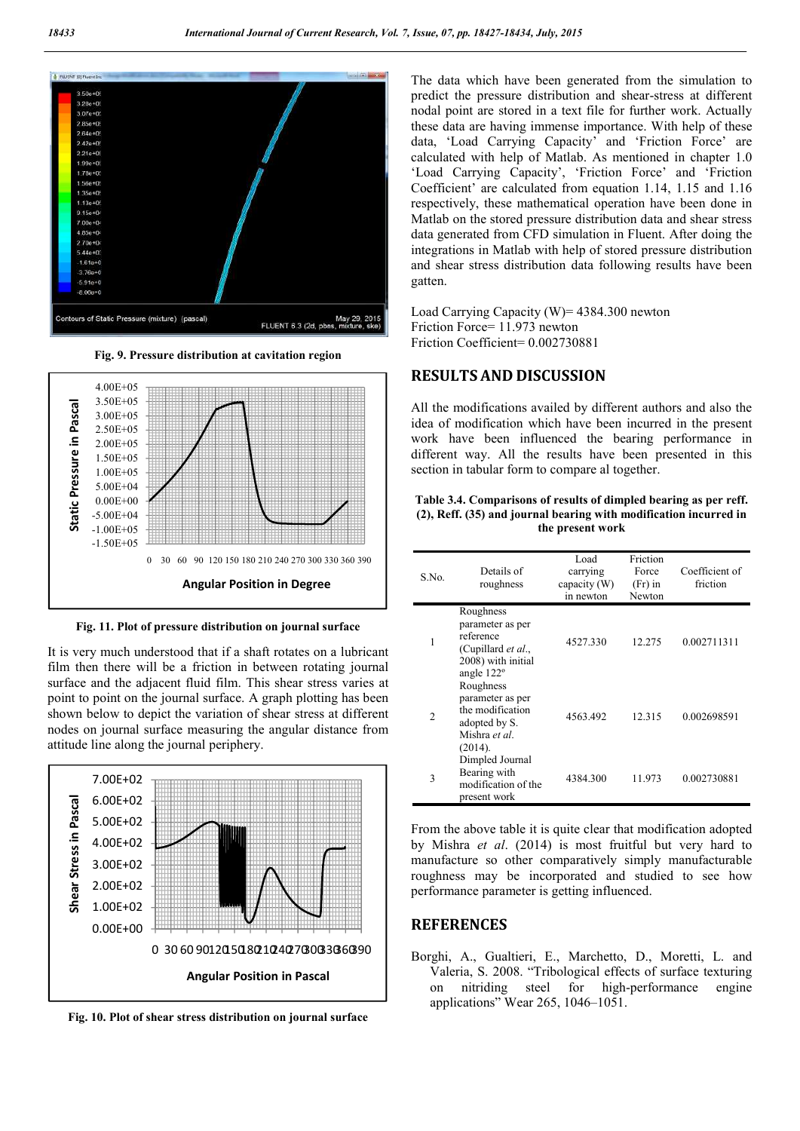

**Fig. 9. Pressure distribution at cavitation region**



**Fig. 11. Plot of pressure distribution on journal surface**

It is very much understood that if a shaft rotates on a lubricant film then there will be a friction in between rotating journal surface and the adjacent fluid film. This shear stress varies at point to point on the journal surface. A graph plotting has been shown below to depict the variation of shear stress at different nodes on journal surface measuring the angular distance from attitude line along the journal periphery.



**Fig. 10. Plot of shear stress distribution on journal surface**

The data which have been generated from the simulation to predict the pressure distribution and shear-stress at different nodal point are stored in a text file for further work. Actually these data are having immense importance. With help of these data, 'Load Carrying Capacity' and 'Friction Force' are calculated with help of Matlab. As mentioned in chapter 1.0 'Load Carrying Capacity', 'Friction Force' and 'Friction Coefficient' are calculated from equation 1.14, 1.15 and 1.16 respectively, these mathematical operation have been done in Matlab on the stored pressure distribution data and shear stress data generated from CFD simulation in Fluent. After doing the integrations in Matlab with help of stored pressure distribution and shear stress distribution data following results have been gatten.

Load Carrying Capacity (W)= 4384.300 newton Friction Force= 11.973 newton Friction Coefficient= 0.002730881

# **RESULTS AND DISCUSSION**

All the modifications availed by different authors and also the idea of modification which have been incurred in the present work have been influenced the bearing performance in different way. All the results have been presented in this section in tabular form to compare al together.

#### **Table 3.4. Comparisons of results of dimpled bearing as per reff. (2), Reff. (35) and journal bearing with modification incurred in the present work**

| S.No.          | Details of<br>roughness                                                                              | Load<br>carrying<br>capacity (W)<br>in newton | Friction<br>Force<br>$(Fr)$ in<br>Newton | Coefficient of<br>friction |
|----------------|------------------------------------------------------------------------------------------------------|-----------------------------------------------|------------------------------------------|----------------------------|
| 1              | Roughness<br>parameter as per<br>reference<br>(Cupillard et al.,<br>2008) with initial<br>angle 122° | 4527.330                                      | 12.275                                   | 0.002711311                |
| $\mathfrak{D}$ | Roughness<br>parameter as per<br>the modification<br>adopted by S.<br>Mishra et al.<br>(2014).       | 4563.492                                      | 12.315                                   | 0.002698591                |
| 3              | Dimpled Journal<br>Bearing with<br>modification of the<br>present work                               | 4384.300                                      | 11.973                                   | 0.002730881                |

From the above table it is quite clear that modification adopted by Mishra *et al*. (2014) is most fruitful but very hard to manufacture so other comparatively simply manufacturable roughness may be incorporated and studied to see how performance parameter is getting influenced.

## **REFERENCES**

Borghi, A., Gualtieri, E., Marchetto, D., Moretti, L. and Valeria, S. 2008. "Tribological effects of surface texturing on nitriding steel for high-performance engine applications" Wear 265, 1046–1051.